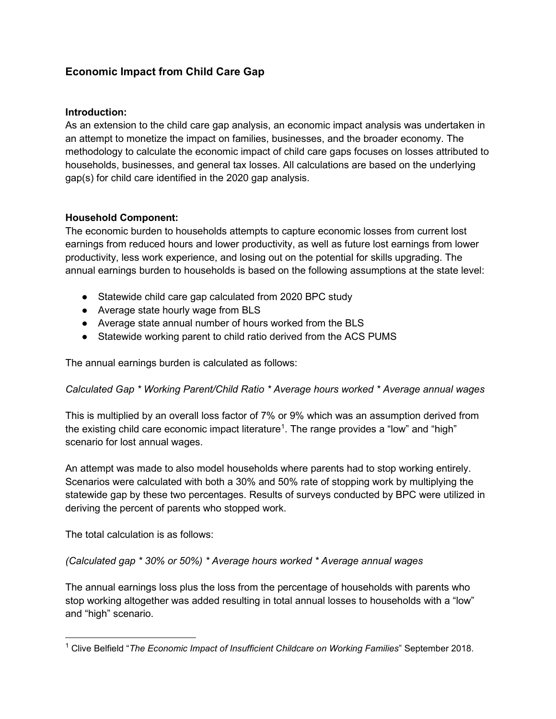# **Economic Impact from Child Care Gap**

## **Introduction:**

As an extension to the child care gap analysis, an economic impact analysis was undertaken in an attempt to monetize the impact on families, businesses, and the broader economy. The methodology to calculate the economic impact of child care gaps focuses on losses attributed to households, businesses, and general tax losses. All calculations are based on the underlying gap(s) for child care identified in the 2020 gap analysis.

## **Household Component:**

The economic burden to households attempts to capture economic losses from current lost earnings from reduced hours and lower productivity, as well as future lost earnings from lower productivity, less work experience, and losing out on the potential for skills upgrading. The annual earnings burden to households is based on the following assumptions at the state level:

- Statewide child care gap calculated from 2020 BPC study
- Average state hourly wage from BLS
- Average state annual number of hours worked from the BLS
- Statewide working parent to child ratio derived from the ACS PUMS

The annual earnings burden is calculated as follows:

*Calculated Gap \* Working Parent/Child Ratio \* Average hours worked \* Average annual wages*

This is multiplied by an overall loss factor of 7% or 9% which was an assumption derived from the existing child care economic impact literature $^{\rm 1}.$  $^{\rm 1}.$  $^{\rm 1}.$  The range provides a "low" and "high" scenario for lost annual wages.

An attempt was made to also model households where parents had to stop working entirely. Scenarios were calculated with both a 30% and 50% rate of stopping work by multiplying the statewide gap by these two percentages. Results of surveys conducted by BPC were utilized in deriving the percent of parents who stopped work.

The total calculation is as follows:

*(Calculated gap \* 30% or 50%) \* Average hours worked \* Average annual wages*

The annual earnings loss plus the loss from the percentage of households with parents who stop working altogether was added resulting in total annual losses to households with a "low" and "high" scenario.

<span id="page-0-0"></span><sup>1</sup> Clive Belfield "*The Economic Impact of Insufficient Childcare on Working Families*" September 2018.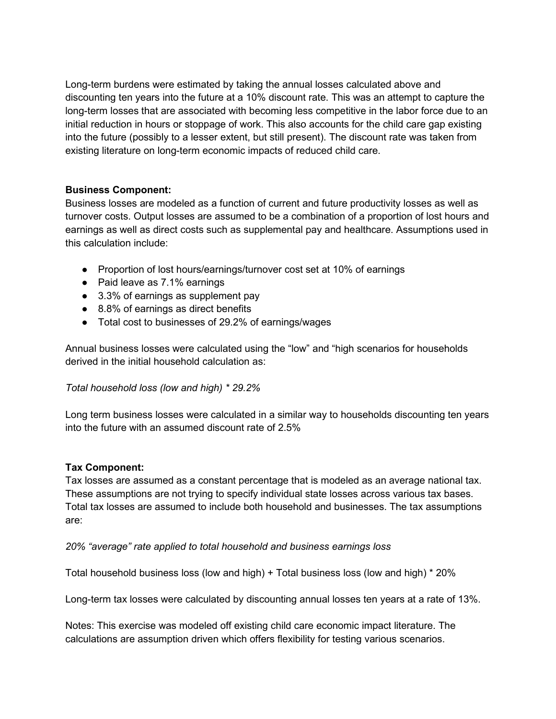Long-term burdens were estimated by taking the annual losses calculated above and discounting ten years into the future at a 10% discount rate. This was an attempt to capture the long-term losses that are associated with becoming less competitive in the labor force due to an initial reduction in hours or stoppage of work. This also accounts for the child care gap existing into the future (possibly to a lesser extent, but still present). The discount rate was taken from existing literature on long-term economic impacts of reduced child care.

## **Business Component:**

Business losses are modeled as a function of current and future productivity losses as well as turnover costs. Output losses are assumed to be a combination of a proportion of lost hours and earnings as well as direct costs such as supplemental pay and healthcare. Assumptions used in this calculation include:

- Proportion of lost hours/earnings/turnover cost set at 10% of earnings
- Paid leave as 7.1% earnings
- 3.3% of earnings as supplement pay
- 8.8% of earnings as direct benefits
- Total cost to businesses of 29.2% of earnings/wages

Annual business losses were calculated using the "low" and "high scenarios for households derived in the initial household calculation as:

#### *Total household loss (low and high) \* 29.2%*

Long term business losses were calculated in a similar way to households discounting ten years into the future with an assumed discount rate of 2.5%

#### **Tax Component:**

Tax losses are assumed as a constant percentage that is modeled as an average national tax. These assumptions are not trying to specify individual state losses across various tax bases. Total tax losses are assumed to include both household and businesses. The tax assumptions are:

#### *20% "average" rate applied to total household and business earnings loss*

Total household business loss (low and high) + Total business loss (low and high) \* 20%

Long-term tax losses were calculated by discounting annual losses ten years at a rate of 13%.

Notes: This exercise was modeled off existing child care economic impact literature. The calculations are assumption driven which offers flexibility for testing various scenarios.